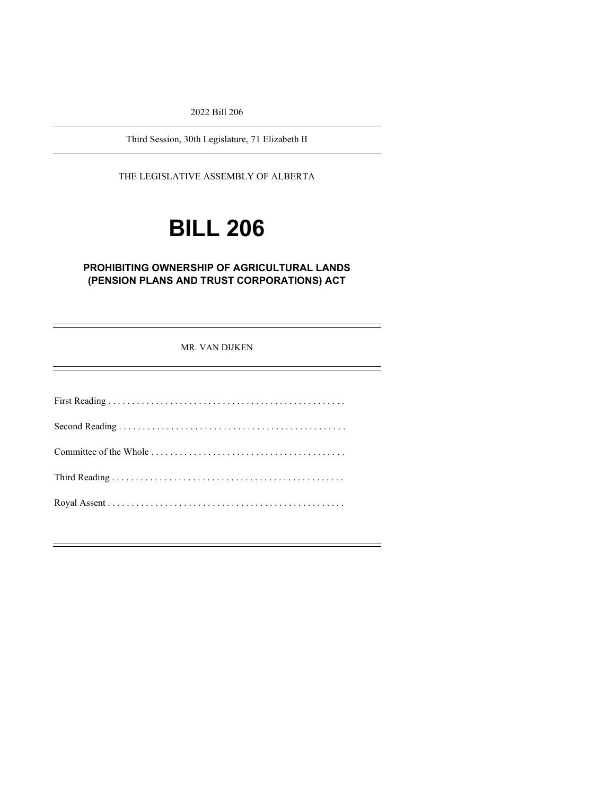2022 Bill 206

Third Session, 30th Legislature, 71 Elizabeth II

THE LEGISLATIVE ASSEMBLY OF ALBERTA

# **BILL 206**

# **PROHIBITING OWNERSHIP OF AGRICULTURAL LANDS (PENSION PLANS AND TRUST CORPORATIONS) ACT**

#### MR. VAN DIJKEN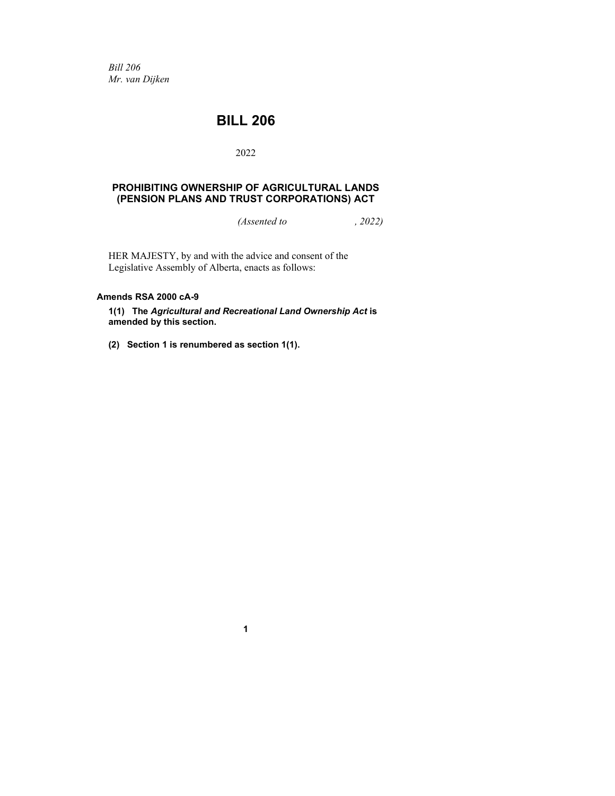*Bill 206 Mr. van Dijken*

# **BILL 206**

# 2022

# **PROHIBITING OWNERSHIP OF AGRICULTURAL LANDS (PENSION PLANS AND TRUST CORPORATIONS) ACT**

*(Assented to , 2022)*

HER MAJESTY, by and with the advice and consent of the Legislative Assembly of Alberta, enacts as follows:

# **Amends RSA 2000 cA-9**

**1(1) The** *Agricultural and Recreational Land Ownership Act* **is amended by this section.**

**(2) Section 1 is renumbered as section 1(1).**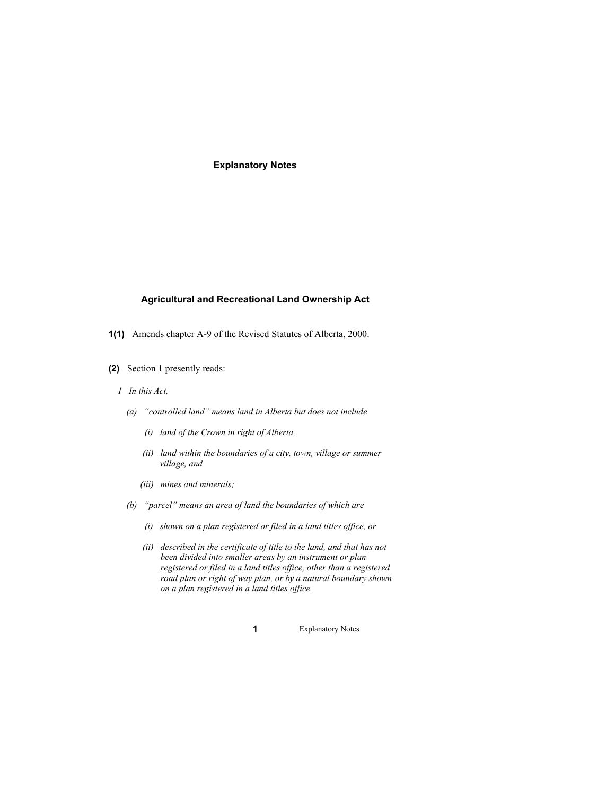**Explanatory Notes**

# **Agricultural and Recreational Land Ownership Act**

- **1(1)** Amends chapter A-9 of the Revised Statutes of Alberta, 2000.
- **(2)** Section 1 presently reads:
	- *1 In this Act,*
		- *(a) "controlled land" means land in Alberta but does not include*
			- *(i) land of the Crown in right of Alberta,*
			- *(ii) land within the boundaries of a city, town, village or summer village, and*
			- *(iii) mines and minerals;*
		- *(b) "parcel" means an area of land the boundaries of which are*
			- *(i) shown on a plan registered or filed in a land titles office, or*
			- *(ii) described in the certificate of title to the land, and that has not been divided into smaller areas by an instrument or plan registered or filed in a land titles office, other than a registered road plan or right of way plan, or by a natural boundary shown on a plan registered in a land titles office.*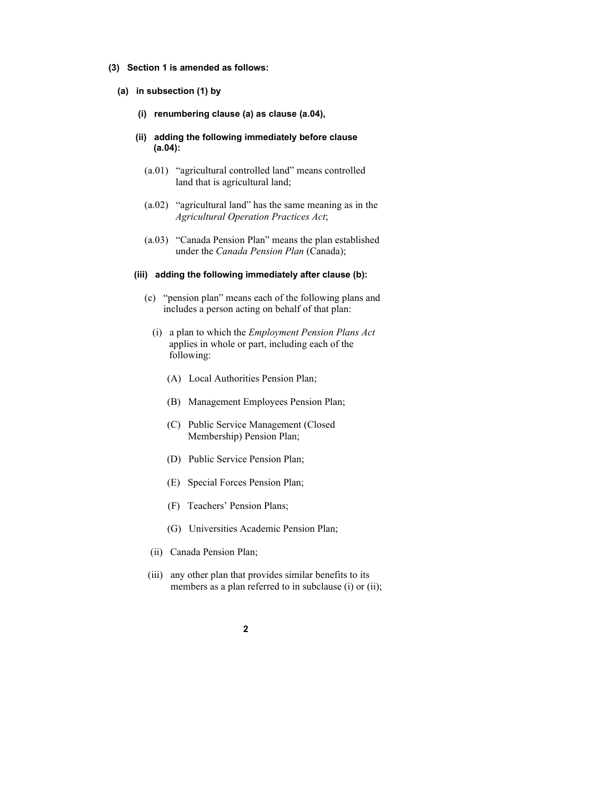#### **(3) Section 1 is amended as follows:**

- **(a) in subsection (1) by**
	- **(i) renumbering clause (a) as clause (a.04),**
	- **(ii) adding the following immediately before clause (a.04):**
		- (a.01) "agricultural controlled land" means controlled land that is agricultural land;
		- (a.02) "agricultural land" has the same meaning as in the *Agricultural Operation Practices Act*;
		- (a.03) "Canada Pension Plan" means the plan established under the *Canada Pension Plan* (Canada);

#### **(iii) adding the following immediately after clause (b):**

- (c) "pension plan" means each of the following plans and includes a person acting on behalf of that plan:
	- (i) a plan to which the *Employment Pension Plans Act* applies in whole or part, including each of the following:
		- (A) Local Authorities Pension Plan;
		- (B) Management Employees Pension Plan;
		- (C) Public Service Management (Closed Membership) Pension Plan;
		- (D) Public Service Pension Plan;
		- (E) Special Forces Pension Plan;
		- (F) Teachers' Pension Plans;
		- (G) Universities Academic Pension Plan;
	- (ii) Canada Pension Plan;
- (iii) any other plan that provides similar benefits to its members as a plan referred to in subclause (i) or (ii);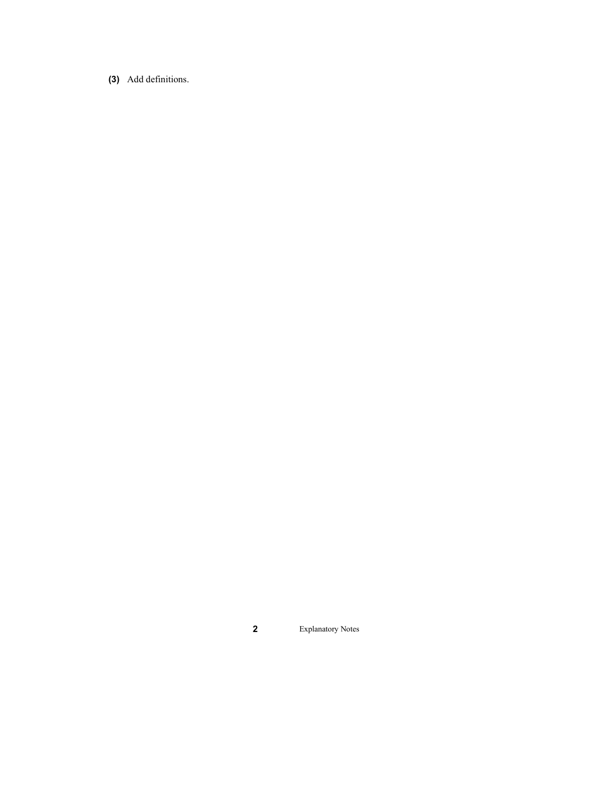**(3)** Add definitions.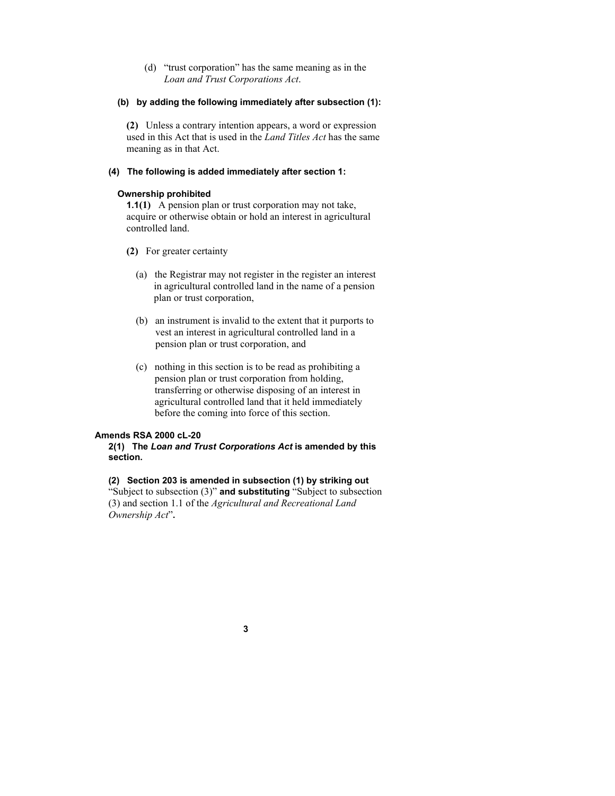(d) "trust corporation" has the same meaning as in the *Loan and Trust Corporations Act*.

# **(b) by adding the following immediately after subsection (1):**

**(2)** Unless a contrary intention appears, a word or expression used in this Act that is used in the *Land Titles Act* has the same meaning as in that Act.

# **(4) The following is added immediately after section 1:**

# **Ownership prohibited**

**1.1(1)** A pension plan or trust corporation may not take, acquire or otherwise obtain or hold an interest in agricultural controlled land.

- **(2)** For greater certainty
	- (a) the Registrar may not register in the register an interest in agricultural controlled land in the name of a pension plan or trust corporation,
	- (b) an instrument is invalid to the extent that it purports to vest an interest in agricultural controlled land in a pension plan or trust corporation, and
	- (c) nothing in this section is to be read as prohibiting a pension plan or trust corporation from holding, transferring or otherwise disposing of an interest in agricultural controlled land that it held immediately before the coming into force of this section.

# **Amends RSA 2000 cL-20**

# **2(1) The** *Loan and Trust Corporations Act* **is amended by this section.**

# **(2) Section 203 is amended in subsection (1) by striking out**

"Subject to subsection (3)" **and substituting** "Subject to subsection (3) and section 1.1 of the *Agricultural and Recreational Land Ownership Act*"**.**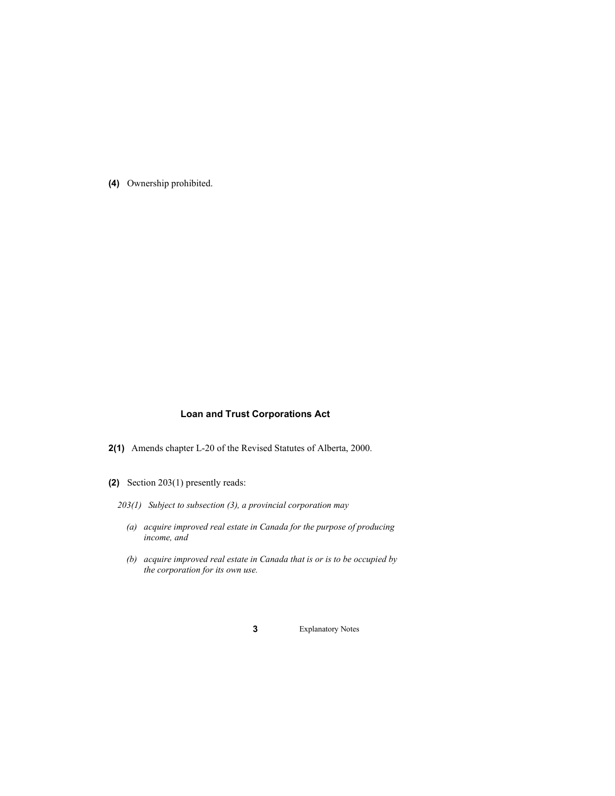**(4)** Ownership prohibited.

# **Loan and Trust Corporations Act**

- **2(1)** Amends chapter L-20 of the Revised Statutes of Alberta, 2000.
- **(2)** Section 203(1) presently reads:
	- *203(1) Subject to subsection (3), a provincial corporation may*
		- *(a) acquire improved real estate in Canada for the purpose of producing income, and*
		- *(b) acquire improved real estate in Canada that is or is to be occupied by the corporation for its own use.*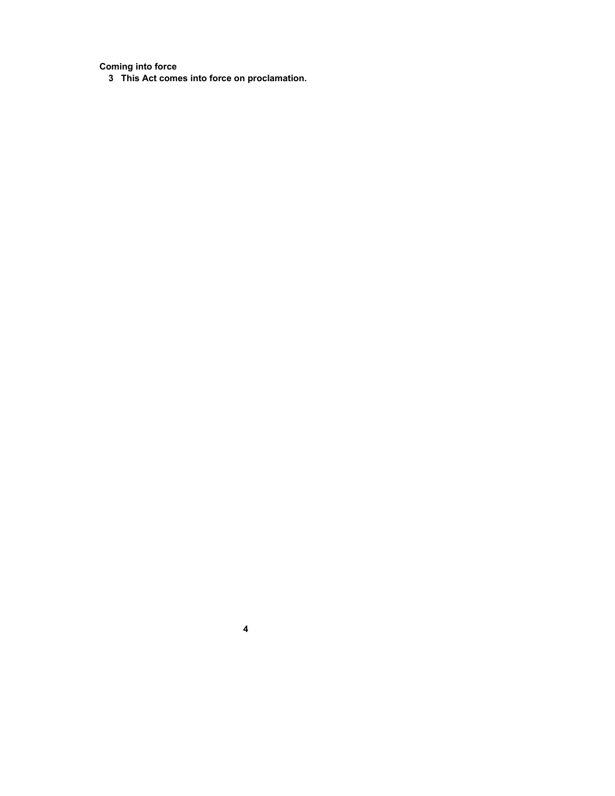**Coming into force**

**This Act comes into force on proclamation.**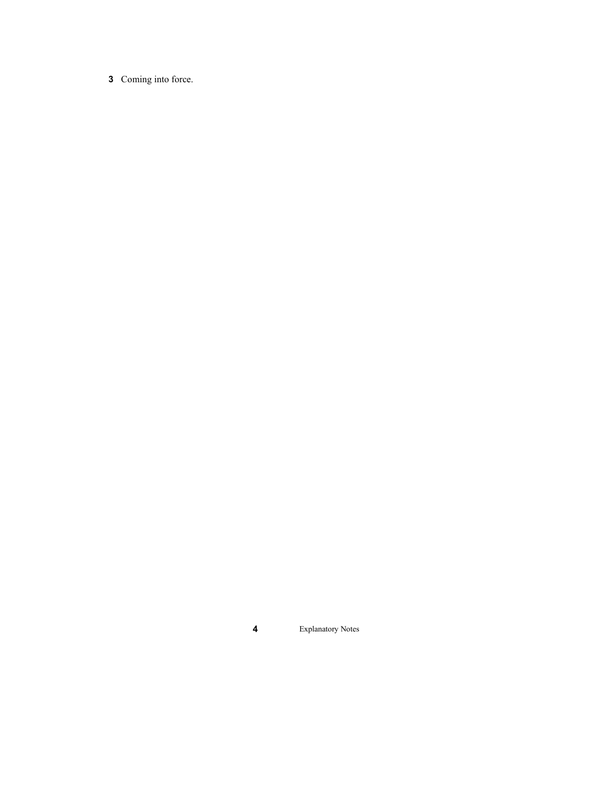Coming into force.